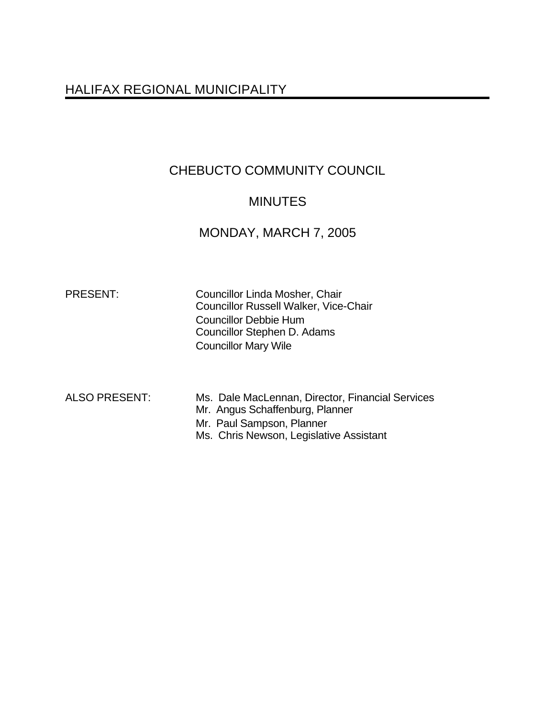# HALIFAX REGIONAL MUNICIPALITY

# CHEBUCTO COMMUNITY COUNCIL

# MINUTES

# MONDAY, MARCH 7, 2005

PRESENT: Councillor Linda Mosher, Chair Councillor Russell Walker, Vice-Chair Councillor Debbie Hum Councillor Stephen D. Adams Councillor Mary Wile

ALSO PRESENT: Ms. Dale MacLennan, Director, Financial Services Mr. Angus Schaffenburg, Planner Mr. Paul Sampson, Planner Ms. Chris Newson, Legislative Assistant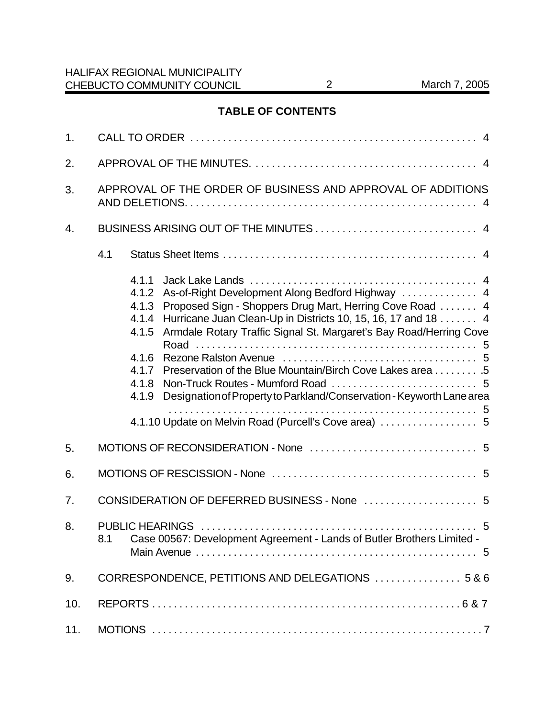## **TABLE OF CONTENTS**

| 1.               |                                                                                                                                                                                                                                                                                                                                                                                                                                                                                                                                    |  |  |  |
|------------------|------------------------------------------------------------------------------------------------------------------------------------------------------------------------------------------------------------------------------------------------------------------------------------------------------------------------------------------------------------------------------------------------------------------------------------------------------------------------------------------------------------------------------------|--|--|--|
| 2.               |                                                                                                                                                                                                                                                                                                                                                                                                                                                                                                                                    |  |  |  |
| 3.               | APPROVAL OF THE ORDER OF BUSINESS AND APPROVAL OF ADDITIONS                                                                                                                                                                                                                                                                                                                                                                                                                                                                        |  |  |  |
| $\overline{4}$ . |                                                                                                                                                                                                                                                                                                                                                                                                                                                                                                                                    |  |  |  |
|                  | 4.1                                                                                                                                                                                                                                                                                                                                                                                                                                                                                                                                |  |  |  |
|                  | 4.1.1<br>As-of-Right Development Along Bedford Highway  4<br>4.1.2<br>Proposed Sign - Shoppers Drug Mart, Herring Cove Road  4<br>4.1.3<br>Hurricane Juan Clean-Up in Districts 10, 15, 16, 17 and 18 4<br>4.1.4<br>Armdale Rotary Traffic Signal St. Margaret's Bay Road/Herring Cove<br>4.1.5<br>4.1.6<br>Preservation of the Blue Mountain/Birch Cove Lakes area 5<br>4.1.7<br>4.1.8<br>Designation of Property to Parkland/Conservation - Keyworth Lane area<br>4.1.9<br>4.1.10 Update on Melvin Road (Purcell's Cove area)  5 |  |  |  |
| 5.               |                                                                                                                                                                                                                                                                                                                                                                                                                                                                                                                                    |  |  |  |
| 6.               |                                                                                                                                                                                                                                                                                                                                                                                                                                                                                                                                    |  |  |  |
| 7.               |                                                                                                                                                                                                                                                                                                                                                                                                                                                                                                                                    |  |  |  |
| 8.               | 8.1 Case 00567: Development Agreement - Lands of Butler Brothers Limited -                                                                                                                                                                                                                                                                                                                                                                                                                                                         |  |  |  |
| 9.               | CORRESPONDENCE, PETITIONS AND DELEGATIONS  5 & 6                                                                                                                                                                                                                                                                                                                                                                                                                                                                                   |  |  |  |
| 10.              |                                                                                                                                                                                                                                                                                                                                                                                                                                                                                                                                    |  |  |  |
| 11.              |                                                                                                                                                                                                                                                                                                                                                                                                                                                                                                                                    |  |  |  |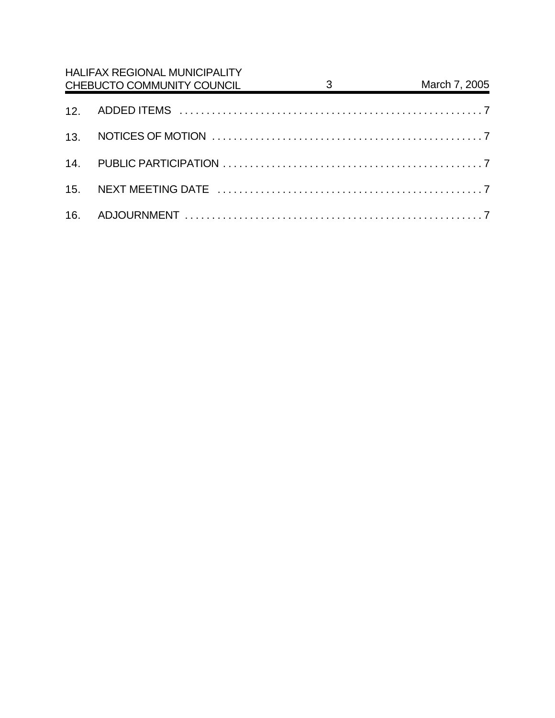| <b>HALIFAX REGIONAL MUNICIPALITY</b><br>CHEBUCTO COMMUNITY COUNCIL | $\overline{\textbf{3}}$ | March 7, 2005 |
|--------------------------------------------------------------------|-------------------------|---------------|
|                                                                    |                         |               |
|                                                                    |                         |               |
|                                                                    |                         |               |
|                                                                    |                         |               |
|                                                                    |                         |               |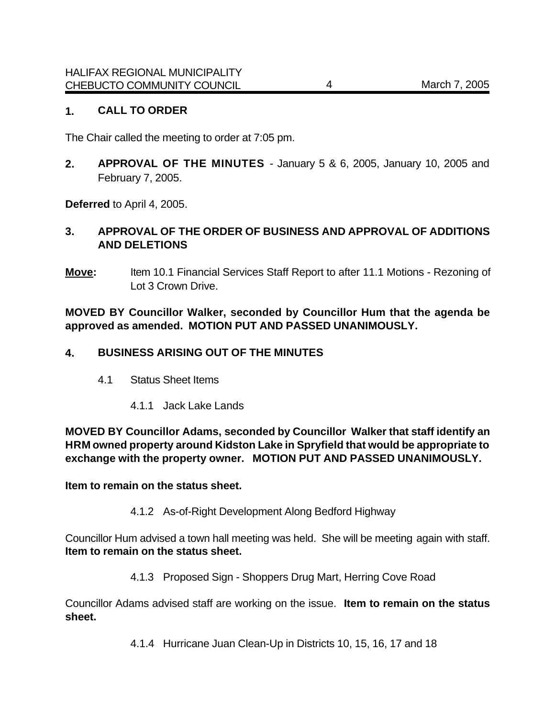### **1. CALL TO ORDER**

The Chair called the meeting to order at 7:05 pm.

**2. APPROVAL OF THE MINUTES** - January 5 & 6, 2005, January 10, 2005 and February 7, 2005.

**Deferred** to April 4, 2005.

## **3. APPROVAL OF THE ORDER OF BUSINESS AND APPROVAL OF ADDITIONS AND DELETIONS**

**Move:** Item 10.1 Financial Services Staff Report to after 11.1 Motions - Rezoning of Lot 3 Crown Drive.

**MOVED BY Councillor Walker, seconded by Councillor Hum that the agenda be approved as amended. MOTION PUT AND PASSED UNANIMOUSLY.**

### **4. BUSINESS ARISING OUT OF THE MINUTES**

- 4.1 Status Sheet Items
	- 4.1.1 Jack Lake Lands

**MOVED BY Councillor Adams, seconded by Councillor Walker that staff identify an HRM owned property around Kidston Lake in Spryfield that would be appropriate to exchange with the property owner. MOTION PUT AND PASSED UNANIMOUSLY.**

**Item to remain on the status sheet.** 

4.1.2 As-of-Right Development Along Bedford Highway

Councillor Hum advised a town hall meeting was held. She will be meeting again with staff. **Item to remain on the status sheet.** 

4.1.3 Proposed Sign - Shoppers Drug Mart, Herring Cove Road

Councillor Adams advised staff are working on the issue. **Item to remain on the status sheet.** 

4.1.4 Hurricane Juan Clean-Up in Districts 10, 15, 16, 17 and 18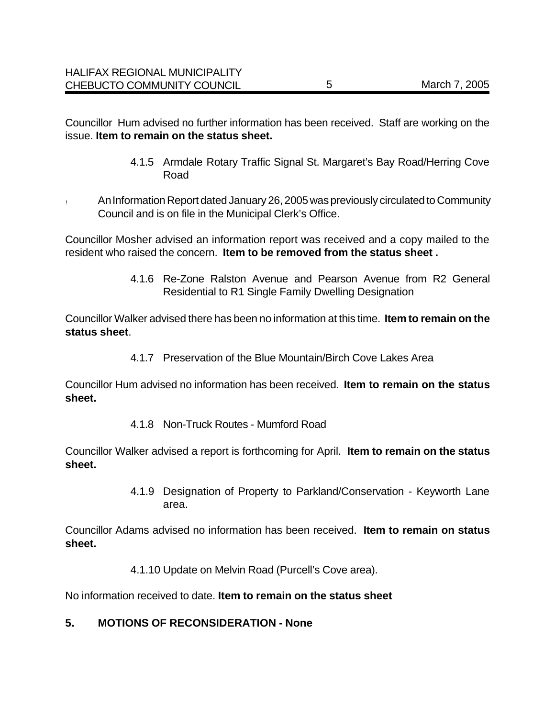Councillor Hum advised no further information has been received. Staff are working on the issue. **Item to remain on the status sheet.** 

- 4.1.5 Armdale Rotary Traffic Signal St. Margaret's Bay Road/Herring Cove Road
- ! An Information Report dated January 26, 2005 was previously circulated to Community Council and is on file in the Municipal Clerk's Office.

Councillor Mosher advised an information report was received and a copy mailed to the resident who raised the concern. **Item to be removed from the status sheet .**

> 4.1.6 Re-Zone Ralston Avenue and Pearson Avenue from R2 General Residential to R1 Single Family Dwelling Designation

Councillor Walker advised there has been no information at this time. **Item to remain on the status sheet**.

4.1.7 Preservation of the Blue Mountain/Birch Cove Lakes Area

Councillor Hum advised no information has been received. **Item to remain on the status sheet.** 

4.1.8 Non-Truck Routes - Mumford Road

Councillor Walker advised a report is forthcoming for April. **Item to remain on the status sheet.** 

> 4.1.9 Designation of Property to Parkland/Conservation - Keyworth Lane area.

Councillor Adams advised no information has been received. **Item to remain on status sheet.** 

4.1.10 Update on Melvin Road (Purcell's Cove area).

No information received to date. **Item to remain on the status sheet**

## **5. MOTIONS OF RECONSIDERATION - None**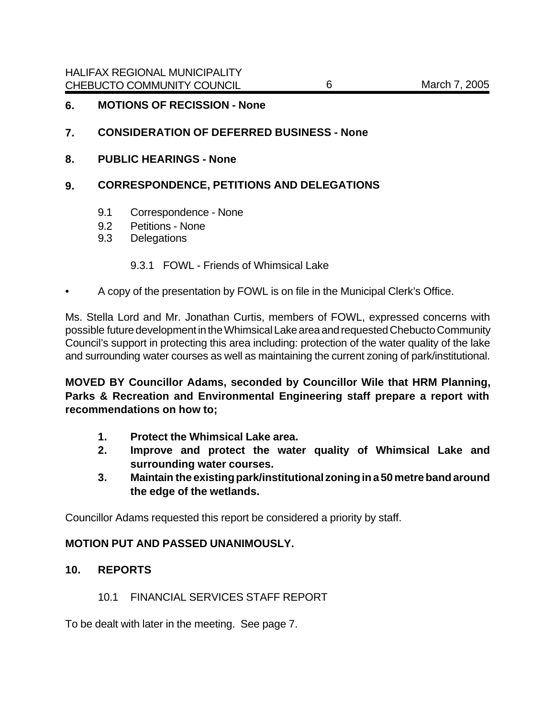#### **6. MOTIONS OF RECISSION - None**

#### **7. CONSIDERATION OF DEFERRED BUSINESS - None**

**8. PUBLIC HEARINGS - None**

### **9. CORRESPONDENCE, PETITIONS AND DELEGATIONS**

- 9.1 Correspondence None
- 9.2 Petitions None
- 9.3 Delegations

#### 9.3.1 FOWL - Friends of Whimsical Lake

• A copy of the presentation by FOWL is on file in the Municipal Clerk's Office.

Ms. Stella Lord and Mr. Jonathan Curtis, members of FOWL, expressed concerns with possible future development in the Whimsical Lake area and requested Chebucto Community Council's support in protecting this area including: protection of the water quality of the lake and surrounding water courses as well as maintaining the current zoning of park/institutional.

**MOVED BY Councillor Adams, seconded by Councillor Wile that HRM Planning, Parks & Recreation and Environmental Engineering staff prepare a report with recommendations on how to;**

- **1. Protect the Whimsical Lake area.**
- **2. Improve and protect the water quality of Whimsical Lake and surrounding water courses.**
- **3. Maintain the existing park/institutional zoning in a 50 metre band around the edge of the wetlands.**

Councillor Adams requested this report be considered a priority by staff.

### **MOTION PUT AND PASSED UNANIMOUSLY.**

#### **10. REPORTS**

10.1 FINANCIAL SERVICES STAFF REPORT

To be dealt with later in the meeting. See page 7.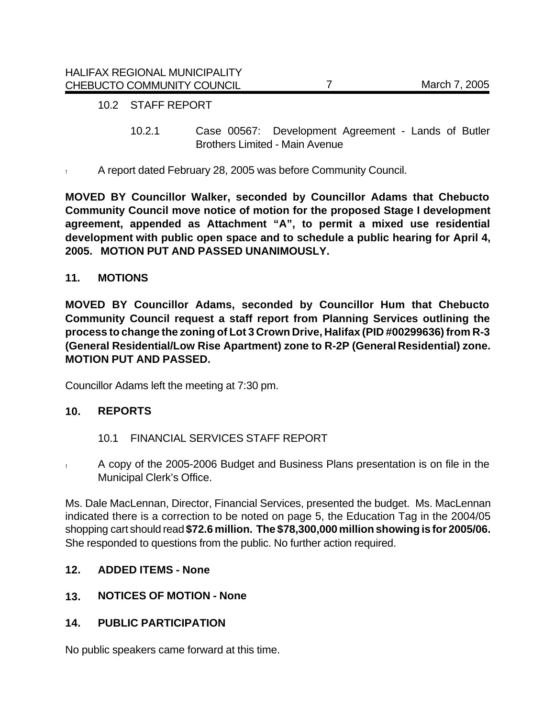### 10.2 STAFF REPORT

- 10.2.1 Case 00567: Development Agreement Lands of Butler Brothers Limited - Main Avenue
- ! A report dated February 28, 2005 was before Community Council.

**MOVED BY Councillor Walker, seconded by Councillor Adams that Chebucto Community Council move notice of motion for the proposed Stage I development agreement, appended as Attachment "A", to permit a mixed use residential development with public open space and to schedule a public hearing for April 4, 2005. MOTION PUT AND PASSED UNANIMOUSLY.** 

### **11. MOTIONS**

**MOVED BY Councillor Adams, seconded by Councillor Hum that Chebucto Community Council request a staff report from Planning Services outlining the process to change the zoning of Lot 3 Crown Drive, Halifax (PID #00299636) from R-3 (General Residential/Low Rise Apartment) zone to R-2P (General Residential) zone. MOTION PUT AND PASSED.** 

Councillor Adams left the meeting at 7:30 pm.

### **10. REPORTS**

- 10.1 FINANCIAL SERVICES STAFF REPORT
- ! A copy of the 2005-2006 Budget and Business Plans presentation is on file in the Municipal Clerk's Office.

Ms. Dale MacLennan, Director, Financial Services, presented the budget. Ms. MacLennan indicated there is a correction to be noted on page 5, the Education Tag in the 2004/05 shopping cart should read **\$72.6 million. The \$78,300,000 million showing is for 2005/06.** She responded to questions from the public. No further action required.

### **12. ADDED ITEMS - None**

**13. NOTICES OF MOTION - None**

### **14. PUBLIC PARTICIPATION**

No public speakers came forward at this time.